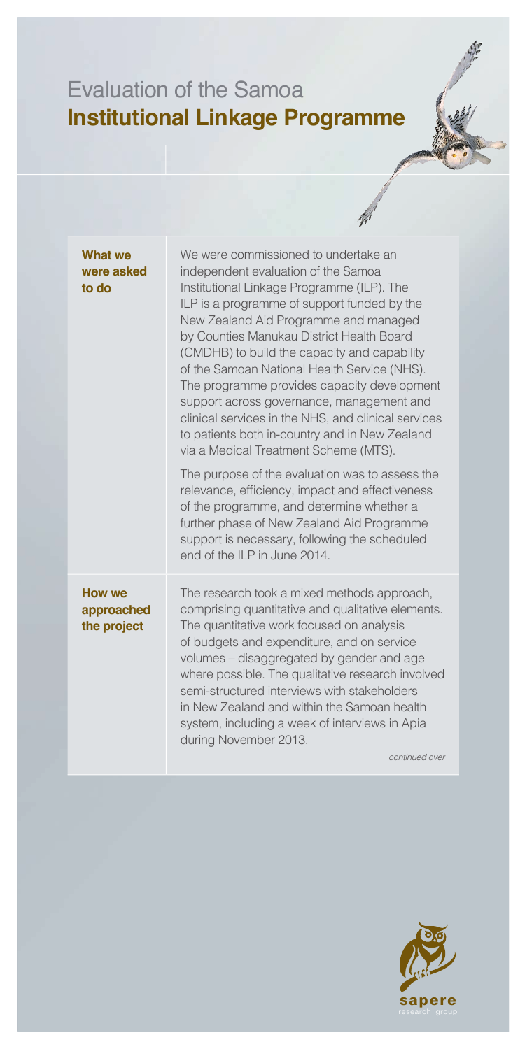## Evaluation of the Samoa **Institutional Linkage Programme**

| <b>What we</b><br>were asked<br>to do      | We were commissioned to undertake an<br>independent evaluation of the Samoa<br>Institutional Linkage Programme (ILP). The<br>ILP is a programme of support funded by the<br>New Zealand Aid Programme and managed<br>by Counties Manukau District Health Board<br>(CMDHB) to build the capacity and capability<br>of the Samoan National Health Service (NHS).<br>The programme provides capacity development<br>support across governance, management and<br>clinical services in the NHS, and clinical services<br>to patients both in-country and in New Zealand<br>via a Medical Treatment Scheme (MTS).<br>The purpose of the evaluation was to assess the<br>relevance, efficiency, impact and effectiveness<br>of the programme, and determine whether a<br>further phase of New Zealand Aid Programme<br>support is necessary, following the scheduled<br>end of the ILP in June 2014. |
|--------------------------------------------|------------------------------------------------------------------------------------------------------------------------------------------------------------------------------------------------------------------------------------------------------------------------------------------------------------------------------------------------------------------------------------------------------------------------------------------------------------------------------------------------------------------------------------------------------------------------------------------------------------------------------------------------------------------------------------------------------------------------------------------------------------------------------------------------------------------------------------------------------------------------------------------------|
| <b>How we</b><br>approached<br>the project | The research took a mixed methods approach,<br>comprising quantitative and qualitative elements.<br>The quantitative work focused on analysis<br>of budgets and expenditure, and on service<br>volumes - disaggregated by gender and age<br>where possible. The qualitative research involved<br>semi-structured interviews with stakeholders<br>in New Zealand and within the Samoan health<br>system, including a week of interviews in Apia<br>during November 2013.<br>continued over                                                                                                                                                                                                                                                                                                                                                                                                      |